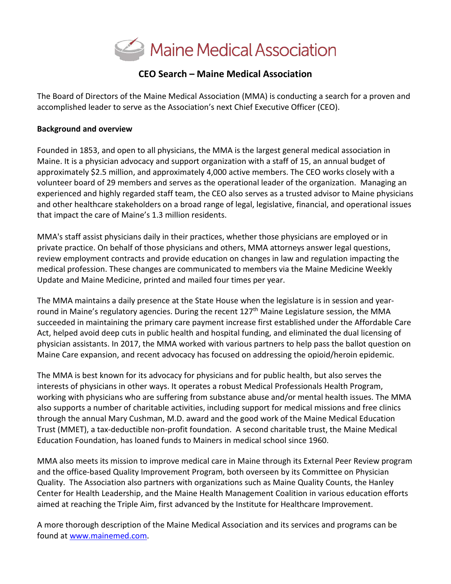

# **CEO Search – Maine Medical Association**

The Board of Directors of the Maine Medical Association (MMA) is conducting a search for a proven and accomplished leader to serve as the Association's next Chief Executive Officer (CEO).

#### **Background and overview**

Founded in 1853, and open to all physicians, the MMA is the largest general medical association in Maine. It is a physician advocacy and support organization with a staff of 15, an annual budget of approximately \$2.5 million, and approximately 4,000 active members. The CEO works closely with a volunteer board of 29 members and serves as the operational leader of the organization. Managing an experienced and highly regarded staff team, the CEO also serves as a trusted advisor to Maine physicians and other healthcare stakeholders on a broad range of legal, legislative, financial, and operational issues that impact the care of Maine's 1.3 million residents.

MMA's staff assist physicians daily in their practices, whether those physicians are employed or in private practice. On behalf of those physicians and others, MMA attorneys answer legal questions, review employment contracts and provide education on changes in law and regulation impacting the medical profession. These changes are communicated to members via the Maine Medicine Weekly Update and Maine Medicine, printed and mailed four times per year.

The MMA maintains a daily presence at the State House when the legislature is in session and yearround in Maine's regulatory agencies. During the recent 127<sup>th</sup> Maine Legislature session, the MMA succeeded in maintaining the primary care payment increase first established under the Affordable Care Act, helped avoid deep cuts in public health and hospital funding, and eliminated the dual licensing of physician assistants. In 2017, the MMA worked with various partners to help pass the ballot question on Maine Care expansion, and recent advocacy has focused on addressing the opioid/heroin epidemic.

The MMA is best known for its advocacy for physicians and for public health, but also serves the interests of physicians in other ways. It operates a robust Medical Professionals Health Program, working with physicians who are suffering from substance abuse and/or mental health issues. The MMA also supports a number of charitable activities, including support for medical missions and free clinics through the annual Mary Cushman, M.D. award and the good work of the Maine Medical Education Trust (MMET), a tax-deductible non-profit foundation. A second charitable trust, the Maine Medical Education Foundation, has loaned funds to Mainers in medical school since 1960.

MMA also meets its mission to improve medical care in Maine through its External Peer Review program and the office-based Quality Improvement Program, both overseen by its Committee on Physician Quality. The Association also partners with organizations such as Maine Quality Counts, the Hanley Center for Health Leadership, and the Maine Health Management Coalition in various education efforts aimed at reaching the Triple Aim, first advanced by the Institute for Healthcare Improvement.

A more thorough description of the Maine Medical Association and its services and programs can be found at [www.mainemed.com.](http://www.mainemed.com/)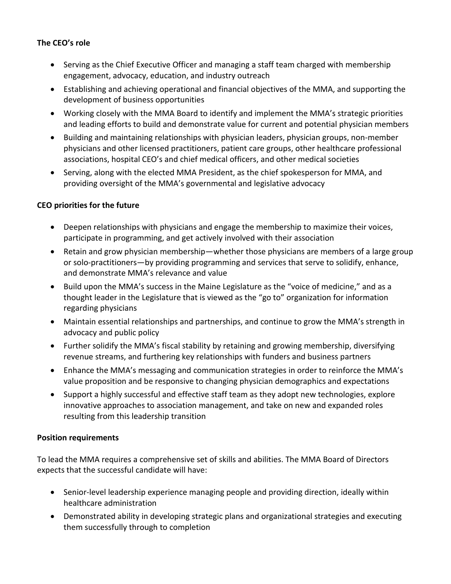## **The CEO's role**

- Serving as the Chief Executive Officer and managing a staff team charged with membership engagement, advocacy, education, and industry outreach
- Establishing and achieving operational and financial objectives of the MMA, and supporting the development of business opportunities
- Working closely with the MMA Board to identify and implement the MMA's strategic priorities and leading efforts to build and demonstrate value for current and potential physician members
- Building and maintaining relationships with physician leaders, physician groups, non-member physicians and other licensed practitioners, patient care groups, other healthcare professional associations, hospital CEO's and chief medical officers, and other medical societies
- Serving, along with the elected MMA President, as the chief spokesperson for MMA, and providing oversight of the MMA's governmental and legislative advocacy

### **CEO priorities for the future**

- Deepen relationships with physicians and engage the membership to maximize their voices, participate in programming, and get actively involved with their association
- Retain and grow physician membership—whether those physicians are members of a large group or solo-practitioners—by providing programming and services that serve to solidify, enhance, and demonstrate MMA's relevance and value
- Build upon the MMA's success in the Maine Legislature as the "voice of medicine," and as a thought leader in the Legislature that is viewed as the "go to" organization for information regarding physicians
- Maintain essential relationships and partnerships, and continue to grow the MMA's strength in advocacy and public policy
- Further solidify the MMA's fiscal stability by retaining and growing membership, diversifying revenue streams, and furthering key relationships with funders and business partners
- Enhance the MMA's messaging and communication strategies in order to reinforce the MMA's value proposition and be responsive to changing physician demographics and expectations
- Support a highly successful and effective staff team as they adopt new technologies, explore innovative approaches to association management, and take on new and expanded roles resulting from this leadership transition

### **Position requirements**

To lead the MMA requires a comprehensive set of skills and abilities. The MMA Board of Directors expects that the successful candidate will have:

- Senior-level leadership experience managing people and providing direction, ideally within healthcare administration
- Demonstrated ability in developing strategic plans and organizational strategies and executing them successfully through to completion